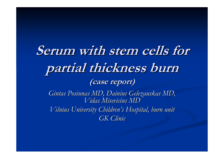# **Serum with stem cells for partial thickness burn partial thickness burn (case report) (case report)**

Gintas Posiunas MD, Dainius Gelezauskas MD, *Vidas Misevicius MD Vidas Misevicius MDVilnius University Children's Hospital, burn unit GK Clinic GK Clinic*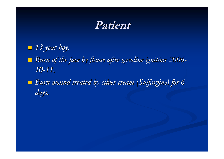### **Patient Patient**

- *13 year boy. 13 year boy.*
- *Burn of the face by flame after gasoline ignition 2006 Burn of the face by flame after gasoline ignition 2006- 10-11.*
- *Burn wound treated by silver cream (Sulfargine) for 6 Burn wound treated by silver cream (Sulfargine) for 6 days.*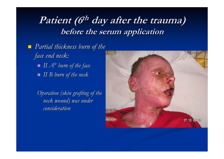### **Patient (6th day after the trauma) before the serum application before the serum application**

 *Partial thickness burn of the Partial thickness burn of the face end neck: face end neck: II A° burn of the face burn of the face II B burn of the neck II B burn of the neck*

> *Operation (skin grafting of the* meck wound) was under *consideration consideration*

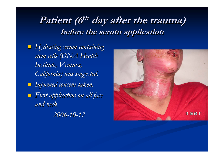# **Patient (6th day after the trauma) before the serum application before the serum application**

 *Hydrating serum containing Hydrating serum containing*  stem cells (DNA Health *Institute, Ventura, Institute, Ventura, California) was suggested. California) was suggested. Informed consent taken. Informed consent taken. First application on all face First application on all face and neck and neck 2006-10-17*

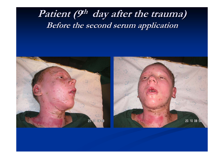# Patient (9<sup>th</sup> day after the trauma) **Before the second serum application Before the second serum application**

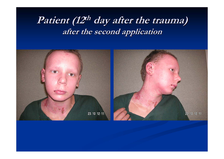# **Patient (12<sup>th</sup> day after the trauma) after the second application after the second application**